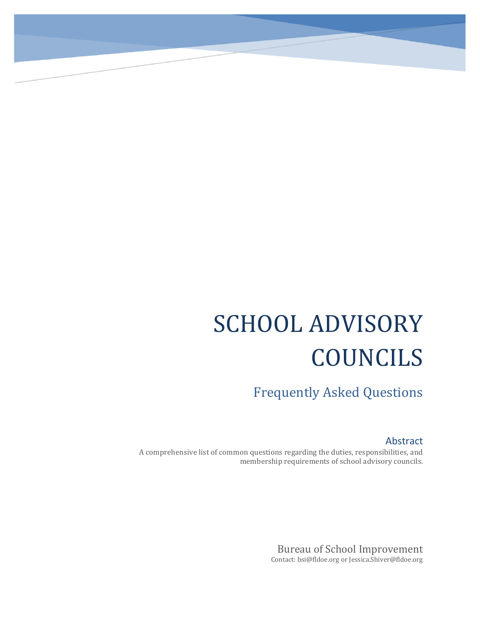# SCHOOL ADVISORY COUNCILS

Frequently Asked Questions

#### Abstract

A comprehensive list of common questions regarding the duties, responsibilities, and membership requirements of school advisory councils.

> Bureau of School Improvement Contact: bsi@fldoe.org or Jessica.Shiver@fldoe.org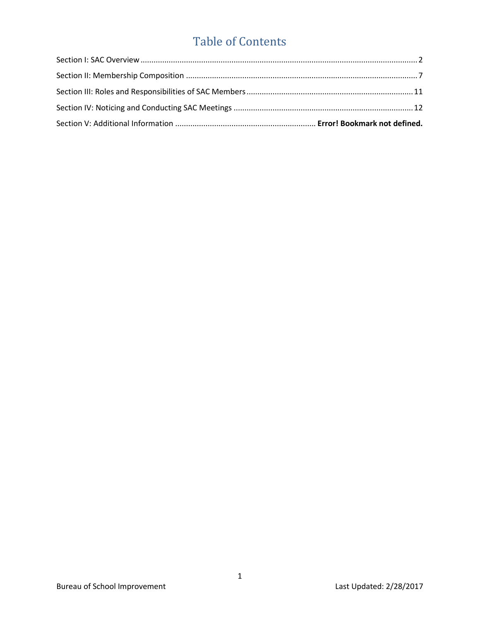# Table of Contents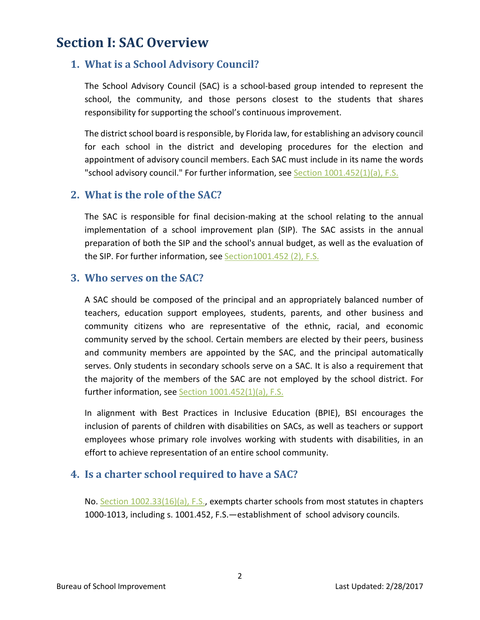# <span id="page-2-0"></span>**Section I: SAC Overview**

#### **1. What is a School Advisory Council?**

The School Advisory Council (SAC) is a school-based group intended to represent the school, the community, and those persons closest to the students that shares responsibility for supporting the school's continuous improvement.

The district school board is responsible, by Florida law, for establishing an advisory council for each school in the district and developing procedures for the election and appointment of advisory council members. Each SAC must include in its name the words "school advisory council." For further information, see Section  $1001.452(1)(a)$ , F.S.

#### **2. What is the role of the SAC?**

The SAC is responsible for final decision-making at the school relating to the annual implementation of a school improvement plan (SIP). The SAC assists in the annual preparation of both the SIP and the school's annual budget, as well as the evaluation of the SIP. For further information, se[e Section1001.452](http://www.leg.state.fl.us/Statutes/index.cfm?App_mode=Display_Statute&Search_String=&URL=1000-1099/1001/Sections/1001.452.html) (2), F.S.

#### **3. Who serves on the SAC?**

A SAC should be composed of the principal and an appropriately balanced number of teachers, education support employees, students, parents, and other business and community citizens who are representative of the ethnic, racial, and economic community served by the school. Certain members are elected by their peers, business and community members are appointed by the SAC, and the principal automatically serves. Only students in secondary schools serve on a SAC. It is also a requirement that the majority of the members of the SAC are not employed by the school district. For further information, see Section [1001.452\(1\)\(a\), F.](http://www.leg.state.fl.us/Statutes/index.cfm?App_mode=Display_Statute&Search_String=&URL=1000-1099/1001/Sections/1001.452.html)S.

In alignment with Best Practices in Inclusive Education (BPIE), BSI encourages the inclusion of parents of children with disabilities on SACs, as well as teachers or support employees whose primary role involves working with students with disabilities, in an effort to achieve representation of an entire school community.

#### **4. Is a charter school required to have a SAC?**

No. [Section 1002.33\(16\)\(a\), F.S.,](http://www.leg.state.fl.us/statutes/index.cfm?mode=View%20Statutes&SubMenu=1&App_mode=Display_Statute&Search_String=1002.33&URL=1000-1099/1002/Sections/1002.33.html) exempts charter schools from most statutes in chapters 1000-1013, including s. 1001.452, F.S.—establishment of school advisory councils.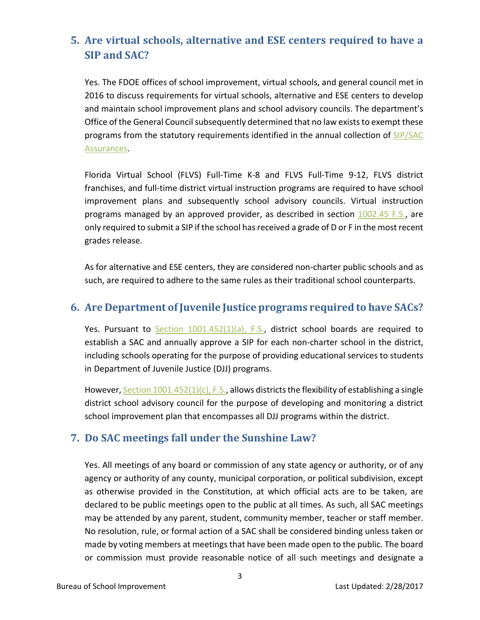# **5. Are virtual schools, alternative and ESE centers required to have a SIP and SAC?**

Yes. The FDOE offices of school improvement, virtual schools, and general council met in 2016 to discuss requirements for virtual schools, alternative and ESE centers to develop and maintain school improvement plans and school advisory councils. The department's Office of the General Council subsequently determined that no law exists to exempt these programs from the statutory requirements identified in the annual collection of SIP/SAC [Assurances.](https://www.floridacims.org/downloads?category=sac)

Florida Virtual School (FLVS) Full-Time K-8 and FLVS Full-Time 9-12, FLVS district franchises, and full-time district virtual instruction programs are required to have school improvement plans and subsequently school advisory councils. Virtual instruction programs managed by an approved provider, as described in section [1002.45 F.S.,](http://www.leg.state.fl.us/statutes/index.cfm?mode=View%20Statutes&SubMenu=1&App_mode=Display_Statute&Search_String=1002.45&URL=1000-1099/1002/Sections/1002.45.html) are only required to submit a SIP if the school has received a grade of D or F in the most recent grades release.

As for alternative and ESE centers, they are considered non-charter public schools and as such, are required to adhere to the same rules as their traditional school counterparts.

#### **6. Are Department of Juvenile Justice programs required to have SACs?**

Yes. Pursuant to Section [1001.452\(1\)\(a\), F.S.,](http://www.leg.state.fl.us/statutes/index.cfm?mode=View%20Statutes&SubMenu=1&App_mode=Display_Statute&Search_String=1001.452&URL=1000-1099/1001/Sections/1001.452.html) district school boards are required to establish a SAC and annually approve a SIP for each non-charter school in the district, including schools operating for the purpose of providing educational services to students in Department of Juvenile Justice (DJJ) programs.

However, Section  $1001.452(1)(c)$ , F.S., allows districts the flexibility of establishing a single district school advisory council for the purpose of developing and monitoring a district school improvement plan that encompasses all DJJ programs within the district.

#### **7. Do SAC meetings fall under the Sunshine Law?**

Yes. All meetings of any board or commission of any state agency or authority, or of any agency or authority of any county, municipal corporation, or political subdivision, except as otherwise provided in the Constitution, at which official acts are to be taken, are declared to be public meetings open to the public at all times. As such, all SAC meetings may be attended by any parent, student, community member, teacher or staff member. No resolution, rule, or formal action of a SAC shall be considered binding unless taken or made by voting members at meetings that have been made open to the public. The board or commission must provide reasonable notice of all such meetings and designate a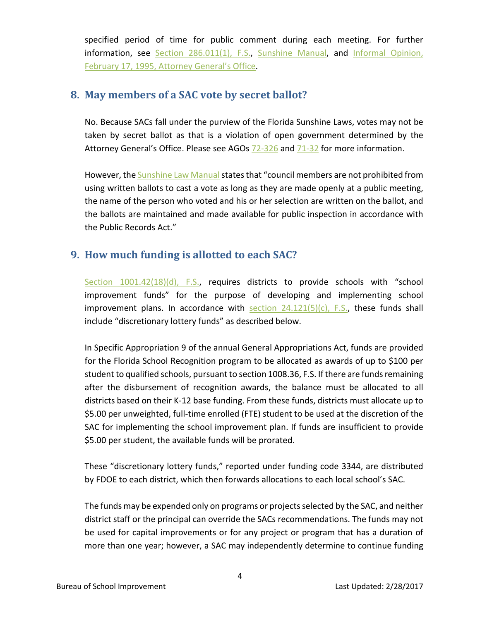specified period of time for public comment during each meeting. For further information, see [Section 286.011\(1\), F.S.,](http://www.leg.state.fl.us/Statutes/index.cfm?App_mode=Display_Statute&Search_String=&URL=0200-0299/0286/Sections/0286.011.html) [Sunshine Manual,](http://myfloridalegal.com/webfiles.nsf/WF/RMAS-A83N4S/$file/2016SunshineLawManual.pdf) and [Informal Opinion,](http://www.myfloridalegal.com/ago.nsf/Opinions/1030B567944A419D85256CBF006023AD)  [February 17, 1995, Attorney General's Office.](http://www.myfloridalegal.com/ago.nsf/Opinions/1030B567944A419D85256CBF006023AD)

#### **8. May members of a SAC vote by secret ballot?**

No. Because SACs fall under the purview of the Florida Sunshine Laws, votes may not be taken by secret ballot as that is a violation of open government determined by the Attorney General's Office. Please see AGOs [72-326](http://myfloridalegal.com/histago.nsf/0/9a74aed1fd6c436c85257a2f0057d292/$FILE/72-326.pdf) and [71-32](http://myfloridalegal.com/histago.nsf/0/647221117ae660b985257a2f0057d2aa/$FILE/71-32A.pdf) for more information.

However, the Sunshine Law Manual states that "council members are not prohibited from using written ballots to cast a vote as long as they are made openly at a public meeting, the name of the person who voted and his or her selection are written on the ballot, and the ballots are maintained and made available for public inspection in accordance with the Public Records Act."

#### **9. How much funding is allotted to each SAC?**

[Section 1001.42\(18\)\(d\), F.S.,](http://www.leg.state.fl.us/Statutes/index.cfm?App_mode=Display_Statute&Search_String=&URL=1000-1099/1001/Sections/1001.42.html) requires districts to provide schools with "school improvement funds" for the purpose of developing and implementing school improvement plans. In accordance with section  $24.121(5)(c)$ , F.S., these funds shall include "discretionary lottery funds" as described below.

In Specific Appropriation 9 of the annual General Appropriations Act, funds are provided for the Florida School Recognition program to be allocated as awards of up to \$100 per student to qualified schools, pursuant to section 1008.36, F.S. If there are funds remaining after the disbursement of recognition awards, the balance must be allocated to all districts based on their K-12 base funding. From these funds, districts must allocate up to \$5.00 per unweighted, full-time enrolled (FTE) student to be used at the discretion of the SAC for implementing the school improvement plan. If funds are insufficient to provide \$5.00 per student, the available funds will be prorated.

These "discretionary lottery funds," reported under funding code 3344, are distributed by FDOE to each district, which then forwards allocations to each local school's SAC.

The funds may be expended only on programs or projects selected by the SAC, and neither district staff or the principal can override the SACs recommendations. The funds may not be used for capital improvements or for any project or program that has a duration of more than one year; however, a SAC may independently determine to continue funding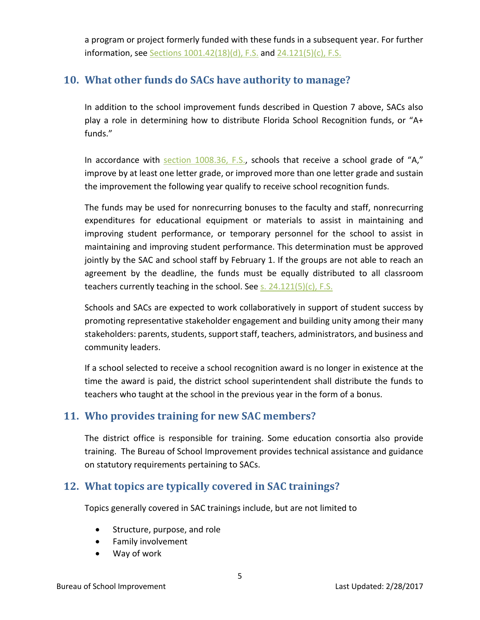a program or project formerly funded with these funds in a subsequent year. For further information, see Sections [1001.42\(18\)\(d\), F.S.](http://www.leg.state.fl.us/statutes/index.cfm?mode=View%20Statutes&SubMenu=1&App_mode=Display_Statute&Search_String=1001.42&URL=1000-1099/1001/Sections/1001.42.html) and [24.121\(5\)\(c\), F.S.](http://www.leg.state.fl.us/statutes/index.cfm?mode=View%20Statutes&SubMenu=1&App_mode=Display_Statute&Search_String=24.121&URL=0000-0099/0024/Sections/0024.121.html)

#### **10. What other funds do SACs have authority to manage?**

In addition to the school improvement funds described in Question 7 above, SACs also play a role in determining how to distribute Florida School Recognition funds, or "A+ funds."

In accordance with section  $1008.36$ , F.S., schools that receive a school grade of "A," improve by at least one letter grade, or improved more than one letter grade and sustain the improvement the following year qualify to receive school recognition funds.

The funds may be used for nonrecurring bonuses to the faculty and staff, nonrecurring expenditures for educational equipment or materials to assist in maintaining and improving student performance, or temporary personnel for the school to assist in maintaining and improving student performance. This determination must be approved jointly by the SAC and school staff by February 1. If the groups are not able to reach an agreement by the deadline, the funds must be equally distributed to all classroom teachers currently teaching in the school. See [s. 24.121\(5\)\(c\), F.S.](http://www.leg.state.fl.us/statutes/index.cfm?App_mode=Display_Statute&Search_String=1001.42&URL=0000-0099/0024/Sections/0024.121.html)

Schools and SACs are expected to work collaboratively in support of student success by promoting representative stakeholder engagement and building unity among their many stakeholders: parents, students, support staff, teachers, administrators, and business and community leaders.

If a school selected to receive a school recognition award is no longer in existence at the time the award is paid, the district school superintendent shall distribute the funds to teachers who taught at the school in the previous year in the form of a bonus.

#### **11. Who provides training for new SAC members?**

The district office is responsible for training. Some education consortia also provide training. The Bureau of School Improvement provides technical assistance and guidance on statutory requirements pertaining to SACs.

### **12. What topics are typically covered in SAC trainings?**

Topics generally covered in SAC trainings include, but are not limited to

- Structure, purpose, and role
- Family involvement
- Way of work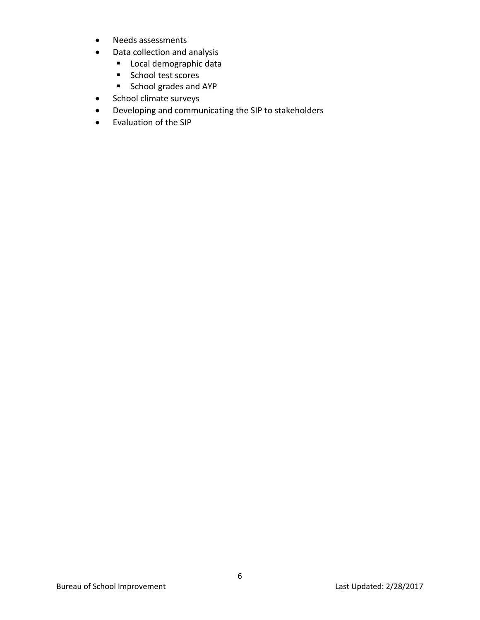- Needs assessments
- Data collection and analysis
	- **Local demographic data**
	- School test scores
	- School grades and AYP
- School climate surveys
- Developing and communicating the SIP to stakeholders
- Evaluation of the SIP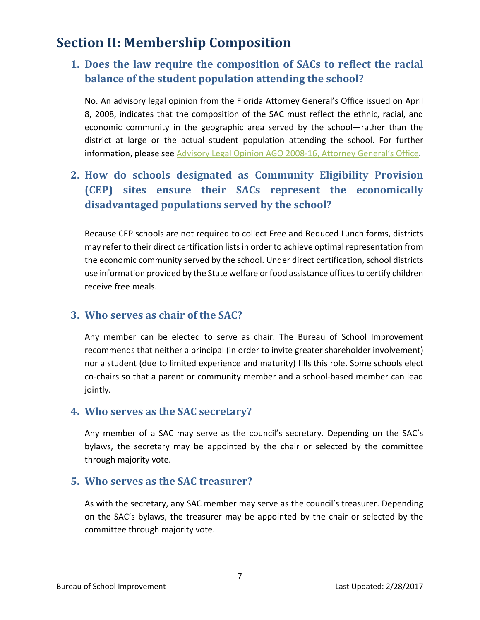# <span id="page-7-0"></span>**Section II: Membership Composition**

## **1. Does the law require the composition of SACs to reflect the racial balance of the student population attending the school?**

No. An advisory legal opinion from the Florida Attorney General's Office issued on April 8, 2008, indicates that the composition of the SAC must reflect the ethnic, racial, and economic community in the geographic area served by the school—rather than the district at large or the actual student population attending the school. For further information, please see [Advisory Legal Opinion AGO 2008-16, Attorney General's Office.](http://myfloridalegal.com/ago.nsf/Opinions/5634E57A908E25D8852574250071E799)

# **2. How do schools designated as Community Eligibility Provision (CEP) sites ensure their SACs represent the economically disadvantaged populations served by the school?**

Because CEP schools are not required to collect Free and Reduced Lunch forms, districts may refer to their direct certification lists in order to achieve optimal representation from the economic community served by the school. Under direct certification, school districts use information provided by the State welfare or food assistance offices to certify children receive free meals.

#### **3. Who serves as chair of the SAC?**

Any member can be elected to serve as chair. The Bureau of School Improvement recommends that neither a principal (in order to invite greater shareholder involvement) nor a student (due to limited experience and maturity) fills this role. Some schools elect co-chairs so that a parent or community member and a school-based member can lead jointly.

#### **4. Who serves as the SAC secretary?**

Any member of a SAC may serve as the council's secretary. Depending on the SAC's bylaws, the secretary may be appointed by the chair or selected by the committee through majority vote.

#### **5. Who serves as the SAC treasurer?**

As with the secretary, any SAC member may serve as the council's treasurer. Depending on the SAC's bylaws, the treasurer may be appointed by the chair or selected by the committee through majority vote.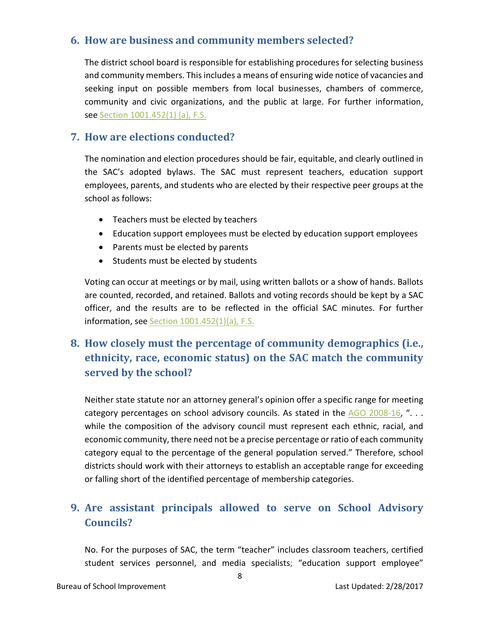#### **6. How are business and community members selected?**

The district school board is responsible for establishing procedures for selecting business and community members. This includes a means of ensuring wide notice of vacancies and seeking input on possible members from local businesses, chambers of commerce, community and civic organizations, and the public at large. For further information, see Section [1001.452\(1\) \(a\), F.S.](http://www.leg.state.fl.us/statutes/index.cfm?mode=View%20Statutes&SubMenu=1&App_mode=Display_Statute&Search_String=1001.452&URL=1000-1099/1001/Sections/1001.452.html)

#### **7. How are elections conducted?**

The nomination and election procedures should be fair, equitable, and clearly outlined in the SAC's adopted bylaws. The SAC must represent teachers, education support employees, parents, and students who are elected by their respective peer groups at the school as follows:

- Teachers must be elected by teachers
- Education support employees must be elected by education support employees
- Parents must be elected by parents
- Students must be elected by students

Voting can occur at meetings or by mail, using written ballots or a show of hands. Ballots are counted, recorded, and retained. Ballots and voting records should be kept by a SAC officer, and the results are to be reflected in the official SAC minutes. For further information, see Section [1001.452\(1\)\(a\),](http://www.leg.state.fl.us/statutes/index.cfm?mode=View%20Statutes&SubMenu=1&App_mode=Display_Statute&Search_String=1001.452&URL=1000-1099/1001/Sections/1001.452.html) F.S.

# **8. How closely must the percentage of community demographics (i.e., ethnicity, race, economic status) on the SAC match the community served by the school?**

Neither state statute nor an attorney general's opinion offer a specific range for meeting category percentages on school advisory councils. As stated in the  $AGO$  2008-16, "... while the composition of the advisory council must represent each ethnic, racial, and economic community, there need not be a precise percentage or ratio of each community category equal to the percentage of the general population served." Therefore, school districts should work with their attorneys to establish an acceptable range for exceeding or falling short of the identified percentage of membership categories.

## **9. Are assistant principals allowed to serve on School Advisory Councils?**

No. For the purposes of SAC, the term "teacher" includes classroom teachers, certified student services personnel, and media specialists; "education support employee"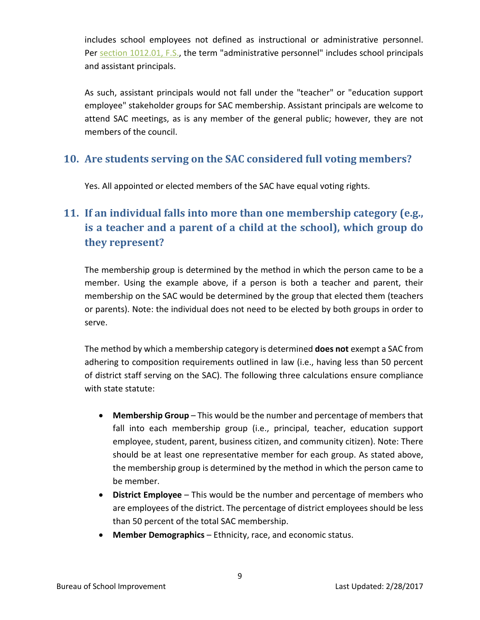includes school employees not defined as instructional or administrative personnel. Per [section 1012.01, F.S.,](http://www.leg.state.fl.us/statutes/index.cfm?mode=View%20Statutes&SubMenu=1&App_mode=Display_Statute&Search_String=1012.01&URL=1000-1099/1012/Sections/1012.01.html) the term "administrative personnel" includes school principals and assistant principals.

As such, assistant principals would not fall under the "teacher" or "education support employee" stakeholder groups for SAC membership. Assistant principals are welcome to attend SAC meetings, as is any member of the general public; however, they are not members of the council.

#### **10. Are students serving on the SAC considered full voting members?**

Yes. All appointed or elected members of the SAC have equal voting rights.

# **11. If an individual falls into more than one membership category (e.g., is a teacher and a parent of a child at the school), which group do they represent?**

The membership group is determined by the method in which the person came to be a member. Using the example above, if a person is both a teacher and parent, their membership on the SAC would be determined by the group that elected them (teachers or parents). Note: the individual does not need to be elected by both groups in order to serve.

The method by which a membership category is determined **does not** exempt a SAC from adhering to composition requirements outlined in law (i.e., having less than 50 percent of district staff serving on the SAC). The following three calculations ensure compliance with state statute:

- **Membership Group** This would be the number and percentage of members that fall into each membership group (i.e., principal, teacher, education support employee, student, parent, business citizen, and community citizen). Note: There should be at least one representative member for each group. As stated above, the membership group is determined by the method in which the person came to be member.
- **District Employee** This would be the number and percentage of members who are employees of the district. The percentage of district employees should be less than 50 percent of the total SAC membership.
- **Member Demographics** Ethnicity, race, and economic status.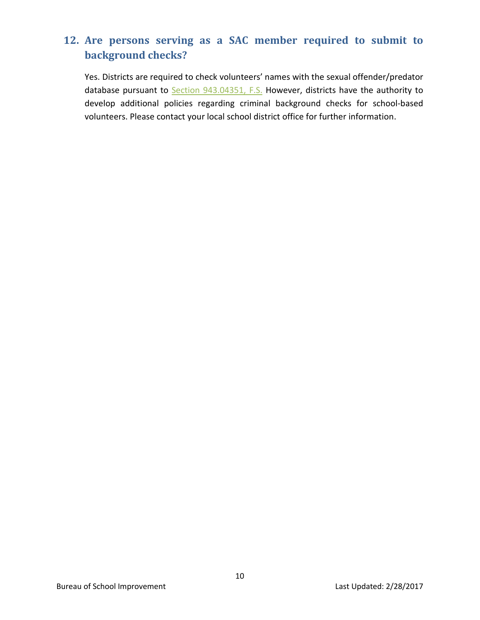# **12. Are persons serving as a SAC member required to submit to background checks?**

Yes. Districts are required to check volunteers' names with the sexual offender/predator database pursuant to Section [943.04351, F.S.](http://www.leg.state.fl.us/statutes/index.cfm?mode=View%20Statutes&SubMenu=1&App_mode=Display_Statute&Search_String=943.04351&URL=0900-0999/0943/Sections/0943.04351.html) However, districts have the authority to develop additional policies regarding criminal background checks for school-based volunteers. Please contact your local school district office for further information.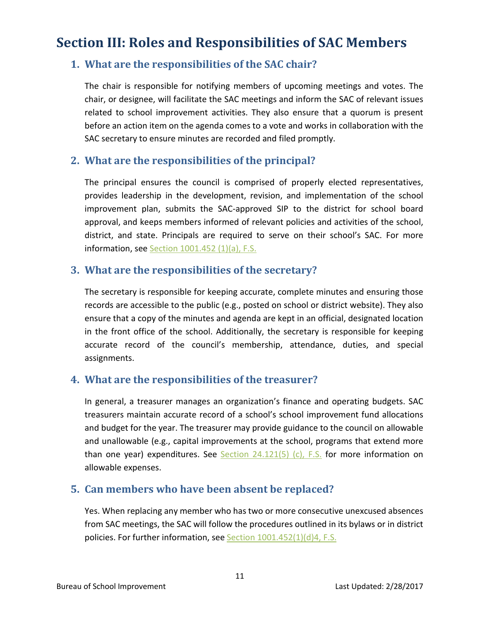# <span id="page-11-0"></span>**Section III: Roles and Responsibilities of SAC Members**

#### **1. What are the responsibilities of the SAC chair?**

The chair is responsible for notifying members of upcoming meetings and votes. The chair, or designee, will facilitate the SAC meetings and inform the SAC of relevant issues related to school improvement activities. They also ensure that a quorum is present before an action item on the agenda comes to a vote and works in collaboration with the SAC secretary to ensure minutes are recorded and filed promptly.

#### **2. What are the responsibilities of the principal?**

The principal ensures the council is comprised of properly elected representatives, provides leadership in the development, revision, and implementation of the school improvement plan, submits the SAC-approved SIP to the district for school board approval, and keeps members informed of relevant policies and activities of the school, district, and state. Principals are required to serve on their school's SAC. For more information, see Section [1001.452 \(1\)\(a\), F.S.](http://www.leg.state.fl.us/statutes/index.cfm?mode=View%20Statutes&SubMenu=1&App_mode=Display_Statute&Search_String=1001.452&URL=1000-1099/1001/Sections/1001.452.html)

#### **3. What are the responsibilities of the secretary?**

The secretary is responsible for keeping accurate, complete minutes and ensuring those records are accessible to the public (e.g., posted on school or district website). They also ensure that a copy of the minutes and agenda are kept in an official, designated location in the front office of the school. Additionally, the secretary is responsible for keeping accurate record of the council's membership, attendance, duties, and special assignments.

#### **4. What are the responsibilities of the treasurer?**

In general, a treasurer manages an organization's finance and operating budgets. SAC treasurers maintain accurate record of a school's school improvement fund allocations and budget for the year. The treasurer may provide guidance to the council on allowable and unallowable (e.g., capital improvements at the school, programs that extend more than one year) expenditures. See Section  $24.121(5)$  (c), F.S. for more information on allowable expenses.

#### **5. Can members who have been absent be replaced?**

Yes. When replacing any member who has two or more consecutive unexcused absences from SAC meetings, the SAC will follow the procedures outlined in its bylaws or in district policies. For further information, see Section  $1001.452(1)(d)4$ , F.S.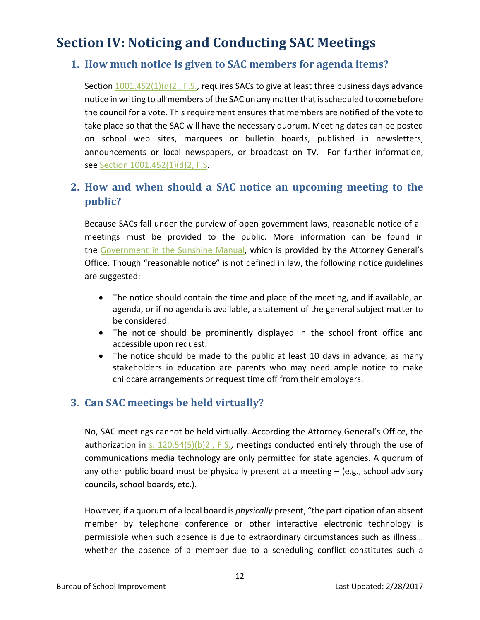# <span id="page-12-0"></span>**Section IV: Noticing and Conducting SAC Meetings**

#### **1. How much notice is given to SAC members for agenda items?**

Section  $1001.452(1)(d)2$ ., F.S., requires SACs to give at least three business days advance notice in writing to all members of the SAC on any matter that is scheduled to come before the council for a vote. This requirement ensures that members are notified of the vote to take place so that the SAC will have the necessary quorum. Meeting dates can be posted on school web sites, marquees or bulletin boards, published in newsletters, announcements or local newspapers, or broadcast on TV. For further information, see Section [1001.452\(1\)\(d\)2, F.](http://www.leg.state.fl.us/Statutes/index.cfm?App_mode=Display_Statute&Search_String=&URL=1000-1099/1001/Sections/1001.452.html)S.

## **2. How and when should a SAC notice an upcoming meeting to the public?**

Because SACs fall under the purview of open government laws, reasonable notice of all meetings must be provided to the public. More information can be found in the [Government in the Sunshine Manual,](http://myfloridalegal.com/webfiles.nsf/WF/RMAS-9UPM53/$file/2015SunshineLawManual.pdf) which is provided by the Attorney General's Office. Though "reasonable notice" is not defined in law, the following notice guidelines are suggested:

- The notice should contain the time and place of the meeting, and if available, an agenda, or if no agenda is available, a statement of the general subject matter to be considered.
- The notice should be prominently displayed in the school front office and accessible upon request.
- The notice should be made to the public at least 10 days in advance, as many stakeholders in education are parents who may need ample notice to make childcare arrangements or request time off from their employers.

#### **3. Can SAC meetings be held virtually?**

No, SAC meetings cannot be held virtually. According the Attorney General's Office, the authorization in [s. 120.54\(5\)\(b\)2., F.S.,](http://www.leg.state.fl.us/statutes/index.cfm?mode=View%20Statutes&SubMenu=1&App_mode=Display_Statute&Search_String=communication+technology&URL=0100-0199/0120/Sections/0120.54.html) meetings conducted entirely through the use of communications media technology are only permitted for state agencies. A quorum of any other public board must be physically present at a meeting – (e.g., school advisory councils, school boards, etc.).

However, if a quorum of a local board is *physically* present, "the participation of an absent member by telephone conference or other interactive electronic technology is permissible when such absence is due to extraordinary circumstances such as illness… whether the absence of a member due to a scheduling conflict constitutes such a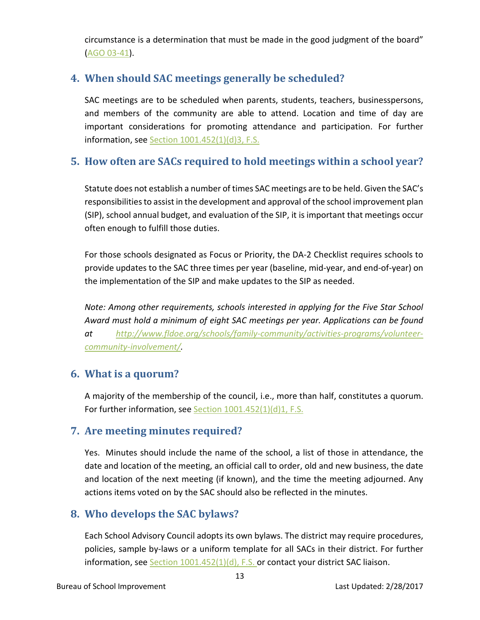circumstance is a determination that must be made in the good judgment of the board" [\(AGO 03-41\)](http://myfloridalegal.com/__85256236006EB5E1.nsf/0/6EDCA3FBCC2C2DAA8525779000573CD3?Open&Highlight=0,03-41).

### **4. When should SAC meetings generally be scheduled?**

SAC meetings are to be scheduled when parents, students, teachers, businesspersons, and members of the community are able to attend. Location and time of day are important considerations for promoting attendance and participation. For further information, see Section  $1001.452(1)(d)3$ , F.S.

## **5. How often are SACs required to hold meetings within a school year?**

Statute does not establish a number of times SAC meetings are to be held. Given the SAC's responsibilities to assist in the development and approval of the school improvement plan (SIP), school annual budget, and evaluation of the SIP, it is important that meetings occur often enough to fulfill those duties.

For those schools designated as Focus or Priority, the DA-2 Checklist requires schools to provide updates to the SAC three times per year (baseline, mid-year, and end-of-year) on the implementation of the SIP and make updates to the SIP as needed.

*Note: Among other requirements, schools interested in applying for the Five Star School Award must hold a minimum of eight SAC meetings per year. Applications can be found at [http://www.fldoe.org/schools/family-community/activities-programs/volunteer](http://www.fldoe.org/schools/family-community/activities-programs/volunteer-community-involvement/)[community-involvement/.](http://www.fldoe.org/schools/family-community/activities-programs/volunteer-community-involvement/)* 

### **6. What is a quorum?**

A majority of the membership of the council, i.e., more than half, constitutes a quorum. For further information, see Section [1001.452\(1\)\(d\)1, F.S.](http://www.leg.state.fl.us/statutes/index.cfm?mode=View%20Statutes&SubMenu=1&App_mode=Display_Statute&Search_String=1001.452&URL=1000-1099/1001/Sections/1001.452.html)

#### **7. Are meeting minutes required?**

Yes. Minutes should include the name of the school, a list of those in attendance, the date and location of the meeting, an official call to order, old and new business, the date and location of the next meeting (if known), and the time the meeting adjourned. Any actions items voted on by the SAC should also be reflected in the minutes.

### **8. Who develops the SAC bylaws?**

Each School Advisory Council adopts its own bylaws. The district may require procedures, policies, sample by-laws or a uniform template for all SACs in their district. For further information, see Section  $1001.452(1)(d)$ , F.S. or contact your district SAC liaison.